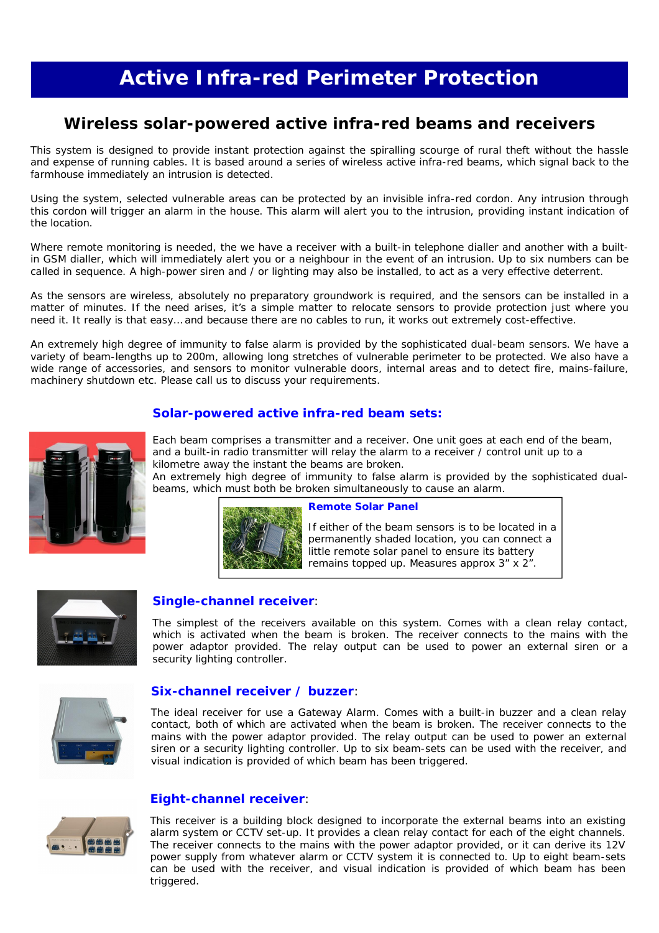# **Active Infra-red Perimeter Protection**

# **Wireless solar-powered active infra-red beams and receivers**

This system is designed to provide instant protection against the spiralling scourge of rural theft without the hassle and expense of running cables. It is based around a series of wireless active infra-red beams, which signal back to the farmhouse immediately an intrusion is detected.

Using the system, selected vulnerable areas can be protected by an invisible infra-red cordon. Any intrusion through this cordon will trigger an alarm in the house. This alarm will alert you to the intrusion, providing instant indication of the location.

Where remote monitoring is needed, the we have a receiver with a built-in telephone dialler and another with a builtin GSM dialler, which will immediately alert you or a neighbour in the event of an intrusion. Up to six numbers can be called in sequence. A high-power siren and / or lighting may also be installed, to act as a very effective deterrent.

As the sensors are wireless, absolutely no preparatory groundwork is required, and the sensors can be installed in a matter of minutes. If the need arises, it's a simple matter to relocate sensors to provide protection just where you need it. It really is that easy… and because there are no cables to run, it works out extremely cost-effective.

An extremely high degree of immunity to false alarm is provided by the sophisticated dual-beam sensors. We have a variety of beam-lengths up to 200m, allowing long stretches of vulnerable perimeter to be protected. We also have a wide range of accessories, and sensors to monitor vulnerable doors, internal areas and to detect fire, mains-failure, machinery shutdown etc. Please call us to discuss your requirements.

# **Solar-powered active infra-red beam sets:**



Each beam comprises a transmitter and a receiver. One unit goes at each end of the beam, and a built-in radio transmitter will relay the alarm to a receiver / control unit up to a kilometre away the instant the beams are broken.

An extremely high degree of immunity to false alarm is provided by the sophisticated dualbeams, which must both be broken simultaneously to cause an alarm.



#### **Remote Solar Panel**

If either of the beam sensors is to be located in a permanently shaded location, you can connect a little remote solar panel to ensure its battery remains topped up. Measures approx 3" x 2".



# **Single-channel receiver**:

The simplest of the receivers available on this system. Comes with a clean relay contact, which is activated when the beam is broken. The receiver connects to the mains with the power adaptor provided. The relay output can be used to power an external siren or a security lighting controller.



## **Six-channel receiver / buzzer**:

The ideal receiver for use a Gateway Alarm. Comes with a built-in buzzer and a clean relay contact, both of which are activated when the beam is broken. The receiver connects to the mains with the power adaptor provided. The relay output can be used to power an external siren or a security lighting controller. Up to six beam-sets can be used with the receiver, and visual indication is provided of which beam has been triggered.



# **Eight-channel receiver**:

This receiver is a building block designed to incorporate the external beams into an existing alarm system or CCTV set-up. It provides a clean relay contact for each of the eight channels. The receiver connects to the mains with the power adaptor provided, or it can derive its 12V power supply from whatever alarm or CCTV system it is connected to. Up to eight beam-sets can be used with the receiver, and visual indication is provided of which beam has been triggered.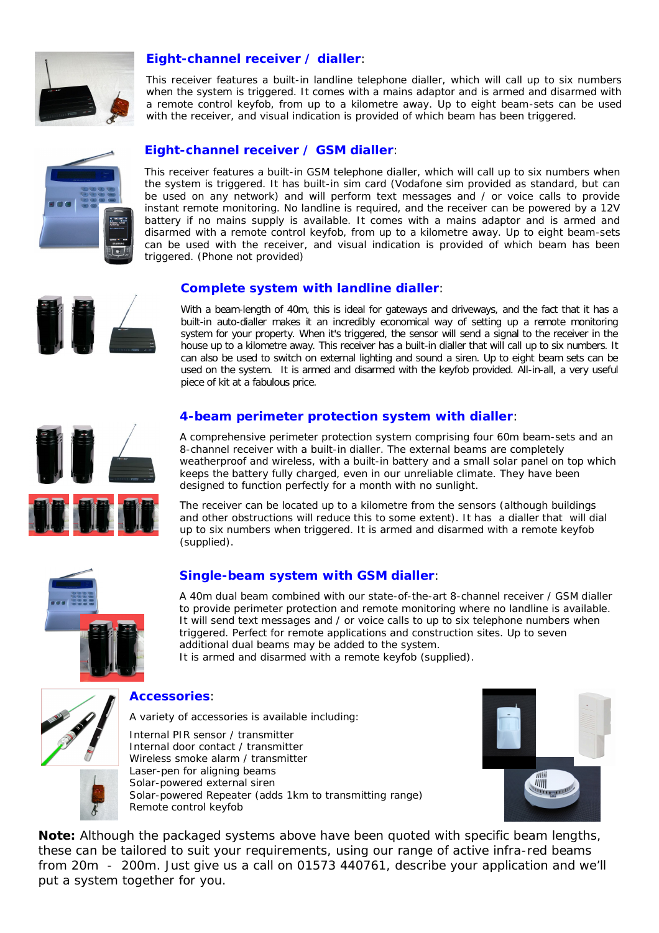

# **Eight-channel receiver / dialler**:

This receiver features a built-in landline telephone dialler, which will call up to six numbers when the system is triggered. It comes with a mains adaptor and is armed and disarmed with a remote control keyfob, from up to a kilometre away. Up to eight beam-sets can be used with the receiver, and visual indication is provided of which beam has been triggered.



# **Eight-channel receiver / GSM dialler**:

This receiver features a built-in GSM telephone dialler, which will call up to six numbers when the system is triggered. It has built-in sim card (Vodafone sim provided as standard, but can be used on any network) and will perform text messages and / or voice calls to provide instant remote monitoring. No landline is required, and the receiver can be powered by a 12V battery if no mains supply is available. It comes with a mains adaptor and is armed and disarmed with a remote control keyfob, from up to a kilometre away. Up to eight beam-sets can be used with the receiver, and visual indication is provided of which beam has been triggered. (Phone not provided)

#### **Complete system with landline dialler**:

With a beam-length of 40m, this is ideal for gateways and driveways, and the fact that it has a built-in auto-dialler makes it an incredibly economical way of setting up a remote monitoring system for your property. When it's triggered, the sensor will send a signal to the receiver in the house up to a kilometre away. This receiver has a built-in dialler that will call up to six numbers. It can also be used to switch on external lighting and sound a siren. Up to eight beam sets can be used on the system. It is armed and disarmed with the keyfob provided. All-in-all, a very useful piece of kit at a fabulous price.



#### **4-beam perimeter protection system with dialler**:

A comprehensive perimeter protection system comprising four 60m beam-sets and an 8-channel receiver with a built-in dialler. The external beams are completely weatherproof and wireless, with a built-in battery and a small solar panel on top which keeps the battery fully charged, even in our unreliable climate. They have been designed to function perfectly for a month with no sunlight.

The receiver can be located up to a kilometre from the sensors (although buildings and other obstructions will reduce this to some extent). It has a dialler that will dial up to six numbers when triggered. It is armed and disarmed with a remote keyfob (supplied).



# **Single-beam system with GSM dialler**:

A 40m dual beam combined with our state-of-the-art 8-channel receiver / GSM dialler to provide perimeter protection and remote monitoring where no landline is available. It will send text messages and / or voice calls to up to six telephone numbers when triggered. Perfect for remote applications and construction sites. Up to seven additional dual beams may be added to the system.

It is armed and disarmed with a remote keyfob (supplied).



#### **Accessories**:

A variety of accessories is available including: Internal PIR sensor / transmitter Internal door contact / transmitter Wireless smoke alarm / transmitter Laser-pen for aligning beams Solar-powered external siren Solar-powered Repeater (adds 1km to transmitting range) Remote control keyfob



**Note:** Although the packaged systems above have been quoted with specific beam lengths, these can be tailored to suit your requirements, using our range of active infra-red beams from 20m - 200m. Just give us a call on 01573 440761, describe your application and we'll put a system together for you.